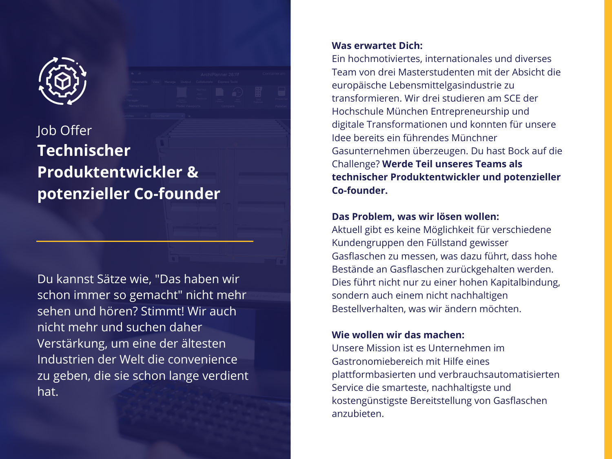

# Job Offer **Technischer Produktentwickler & potenzieller Co-founder**

Du kannst Sätze wie, "Das haben wir schon immer so gemacht" nicht mehr sehen und hören? Stimmt! Wir auch nicht mehr und suchen daher Verstärkung, um eine der ältesten Industrien der Welt die convenience zu geben, die sie schon lange verdient hat.

### **Was erwartet Dich:**

Ein hochmotiviertes, internationales und diverses Team von drei Masterstudenten mit der Absicht die europäische Lebensmittelgasindustrie zu transformieren. Wir drei studieren am SCE der Hochschule München Entrepreneurship und digitale Transformationen und konnten für unsere Idee bereits ein führendes Münchner Gasunternehmen überzeugen. Du hast Bock auf die Challenge? **Werde Teil unseres Teams als technischer Produktentwickler und potenzieller Co-founder.**

# **Das Problem, was wir lösen wollen:**

Aktuell gibt es keine Möglichkeit für verschiedene Kundengruppen den Füllstand gewisser Gasflaschen zu messen, was dazu führt, dass hohe Bestände an Gasflaschen zurückgehalten werden. Dies führt nicht nur zu einer hohen Kapitalbindung, sondern auch einem nicht nachhaltigen Bestellverhalten, was wir ändern möchten.

# **Wie wollen wir das machen:**

Unsere Mission ist es Unternehmen im Gastronomiebereich mit Hilfe eines plattformbasierten und verbrauchsautomatisierten Service die smarteste, nachhaltigste und kostengünstigste Bereitstellung von Gasflaschen anzubieten.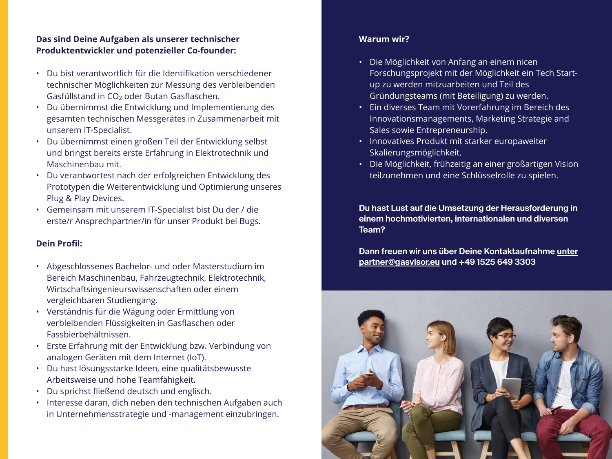## **Das sind Deine Aufgaben als unserer technischer Produktentwickler und potenzieller Co-founder:**

- Du bist verantwortlich für die Identifikation verschiedener technischer Möglichkeiten zur Messung des verbleibenden Gasfüllstand in CO<sub>2</sub> oder Butan Gasflaschen.
- Du übernimmst die Entwicklung und Implementierung des gesamten technischen Messgerätes in Zusammenarbeit mit unserem IT-Specialist.
- Du übernimmst einen großen Teil der Entwicklung selbst und bringst bereits erste Erfahrung in Elektrotechnik und Maschinenbau mit.
- Du verantwortest nach der erfolgreichen Entwicklung des Prototypen die Weiterentwicklung und Optimierung unseres Plug & Play Devices.
- Gemeinsam mit unserem IT-Specialist bist Du der / die erste/r Ansprechpartner/in für unser Produkt bei Bugs.

#### **Dein Profil:**

- Abgeschlossenes Bachelor- und oder Masterstudium im Bereich Maschinenbau, Fahrzeugtechnik, Elektrotechnik, Wirtschaftsingenieurswissenschaften oder einem vergleichbaren Studiengang.
- Verständnis für die Wägung oder Ermittlung von verbleibenden Flüssigkeiten in Gasflaschen oder Fassbierbehältnissen.
- Erste Erfahrung mit der Entwicklung bzw. Verbindung von analogen Geräten mit dem Internet (IoT).
- Du hast lösungsstarke Ideen, eine qualitätsbewusste Arbeitsweise und hohe Teamfähigkeit.
- Du sprichst fließend deutsch und englisch.
- Interesse daran, dich neben den technischen Aufgaben auch in Unternehmensstrategie und -management einzubringen.

## **Warum wir?**

- Die Möglichkeit von Anfang an einem nicen Forschungsprojekt mit der Möglichkeit ein Tech Startup zu werden mitzuarbeiten und Teil des Gründungsteams (mit Beteiligung) zu werden.
- Ein diverses Team mit Vorerfahrung im Bereich des Innovationsmanagements, Marketing Strategie and Sales sowie Entrepreneurship.
- Innovatives Produkt mit starker europaweiter Skalierungsmöglichkeit.
- Die Möglichkeit, frühzeitig an einer großartigen Vision teilzunehmen und eine Schlüsselrolle zu spielen.

**Du hast Lust auf die Umsetzung der Herausforderung in einem hochmotivierten, internationalen und diversen Team?**

**Dann freuen wir uns über Deine Kontaktaufnahme unter partner@gasvisor.eu und +49 1525 649 3303**

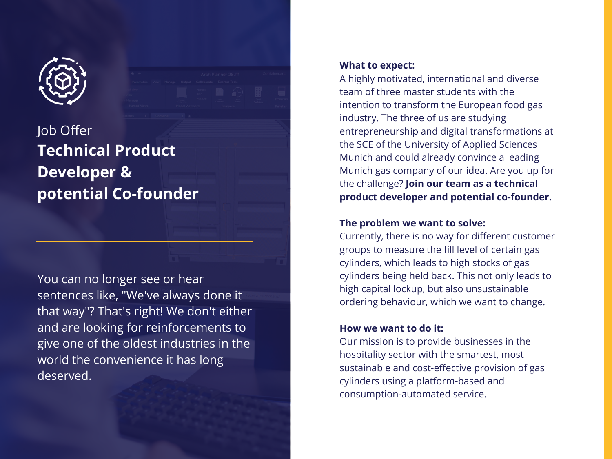

# Job Offer **Technical Product Developer & potential Co-founder**

You can no longer see or hear sentences like, "We've always done it that way"? That's right! We don't either and are looking for reinforcements to give one of the oldest industries in the world the convenience it has long deserved.

#### **What to expect:**

A highly motivated, international and diverse team of three master students with the intention to transform the European food gas industry. The three of us are studying entrepreneurship and digital transformations at the SCE of the University of Applied Sciences Munich and could already convince a leading Munich gas company of our idea. Are you up for the challenge? **Join our team as a technical product developer and potential co-founder.**

# **The problem we want to solve:**

Currently, there is no way for different customer groups to measure the fill level of certain gas cylinders, which leads to high stocks of gas cylinders being held back. This not only leads to high capital lockup, but also unsustainable ordering behaviour, which we want to change.

# **How we want to do it:**

Our mission is to provide businesses in the hospitality sector with the smartest, most sustainable and cost-effective provision of gas cylinders using a platform-based and consumption-automated service.